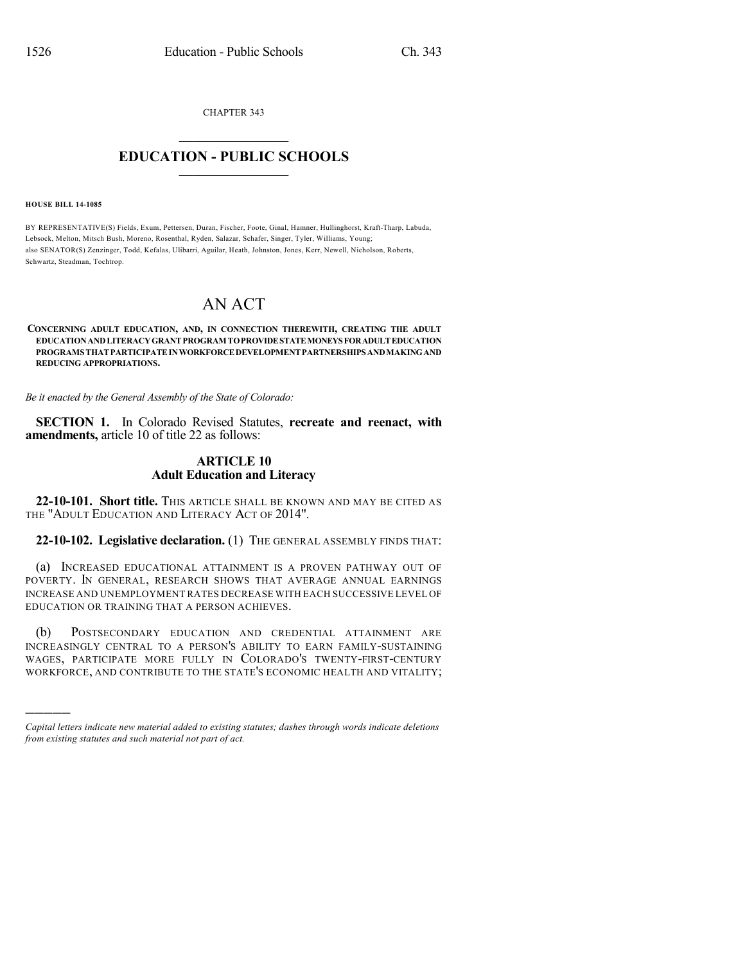CHAPTER 343

## $\overline{\phantom{a}}$  . The set of the set of the set of the set of the set of the set of the set of the set of the set of the set of the set of the set of the set of the set of the set of the set of the set of the set of the set o **EDUCATION - PUBLIC SCHOOLS**  $\_$   $\_$   $\_$   $\_$   $\_$   $\_$   $\_$   $\_$   $\_$

**HOUSE BILL 14-1085**

)))))

BY REPRESENTATIVE(S) Fields, Exum, Pettersen, Duran, Fischer, Foote, Ginal, Hamner, Hullinghorst, Kraft-Tharp, Labuda, Lebsock, Melton, Mitsch Bush, Moreno, Rosenthal, Ryden, Salazar, Schafer, Singer, Tyler, Williams, Young; also SENATOR(S) Zenzinger, Todd, Kefalas, Ulibarri, Aguilar, Heath, Johnston, Jones, Kerr, Newell, Nicholson, Roberts, Schwartz, Steadman, Tochtrop.

## AN ACT

## **CONCERNING ADULT EDUCATION, AND, IN CONNECTION THEREWITH, CREATING THE ADULT EDUCATIONANDLITERACYGRANTPROGRAM TOPROVIDESTATEMONEYSFORADULTEDUCATION PROGRAMS THATPARTICIPATEINWORKFORCEDEVELOPMENTPARTNERSHIPSANDMAKINGAND REDUCING APPROPRIATIONS.**

*Be it enacted by the General Assembly of the State of Colorado:*

**SECTION 1.** In Colorado Revised Statutes, **recreate and reenact, with amendments,** article 10 of title 22 as follows:

## **ARTICLE 10 Adult Education and Literacy**

**22-10-101. Short title.** THIS ARTICLE SHALL BE KNOWN AND MAY BE CITED AS THE "ADULT EDUCATION AND LITERACY ACT OF 2014".

**22-10-102. Legislative declaration.** (1) THE GENERAL ASSEMBLY FINDS THAT:

(a) INCREASED EDUCATIONAL ATTAINMENT IS A PROVEN PATHWAY OUT OF POVERTY. IN GENERAL, RESEARCH SHOWS THAT AVERAGE ANNUAL EARNINGS INCREASE AND UNEMPLOYMENT RATES DECREASE WITH EACH SUCCESSIVE LEVEL OF EDUCATION OR TRAINING THAT A PERSON ACHIEVES.

(b) POSTSECONDARY EDUCATION AND CREDENTIAL ATTAINMENT ARE INCREASINGLY CENTRAL TO A PERSON'S ABILITY TO EARN FAMILY-SUSTAINING WAGES, PARTICIPATE MORE FULLY IN COLORADO'S TWENTY-FIRST-CENTURY WORKFORCE, AND CONTRIBUTE TO THE STATE'S ECONOMIC HEALTH AND VITALITY;

*Capital letters indicate new material added to existing statutes; dashes through words indicate deletions from existing statutes and such material not part of act.*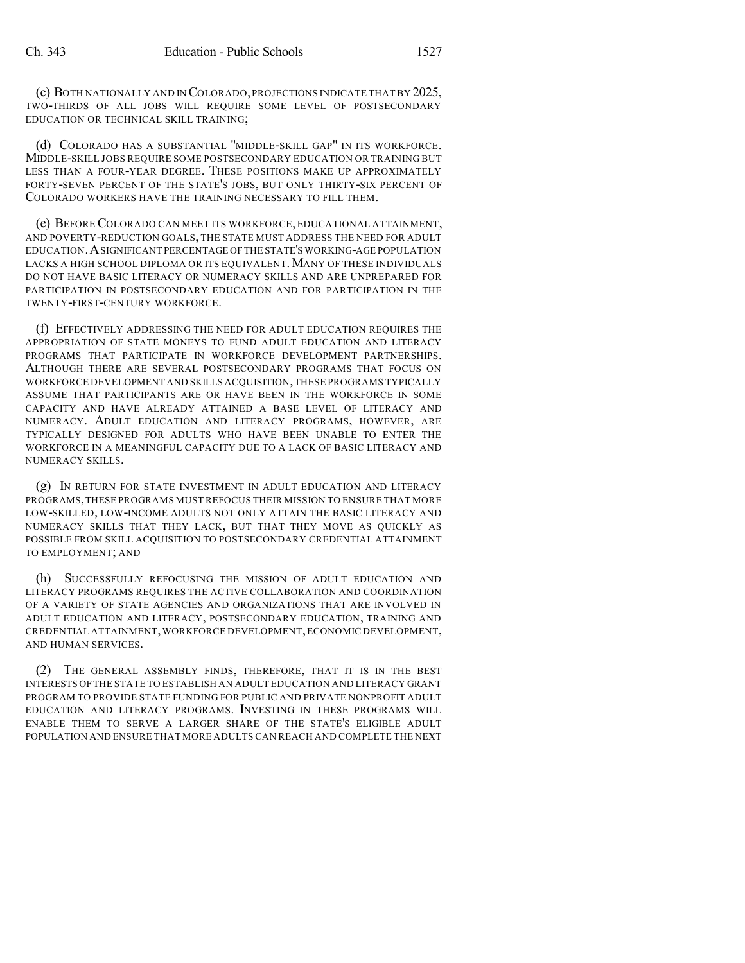(c) BOTH NATIONALLY AND IN COLORADO,PROJECTIONS INDICATE THAT BY 2025, TWO-THIRDS OF ALL JOBS WILL REQUIRE SOME LEVEL OF POSTSECONDARY EDUCATION OR TECHNICAL SKILL TRAINING;

(d) COLORADO HAS A SUBSTANTIAL "MIDDLE-SKILL GAP" IN ITS WORKFORCE. MIDDLE-SKILL JOBS REQUIRE SOME POSTSECONDARY EDUCATION OR TRAINING BUT LESS THAN A FOUR-YEAR DEGREE. THESE POSITIONS MAKE UP APPROXIMATELY FORTY-SEVEN PERCENT OF THE STATE'S JOBS, BUT ONLY THIRTY-SIX PERCENT OF COLORADO WORKERS HAVE THE TRAINING NECESSARY TO FILL THEM.

(e) BEFORE COLORADO CAN MEET ITS WORKFORCE, EDUCATIONAL ATTAINMENT, AND POVERTY-REDUCTION GOALS, THE STATE MUST ADDRESS THE NEED FOR ADULT EDUCATION.ASIGNIFICANT PERCENTAGE OFTHE STATE'S WORKING-AGE POPULATION LACKS A HIGH SCHOOL DIPLOMA OR ITS EQUIVALENT. MANY OF THESE INDIVIDUALS DO NOT HAVE BASIC LITERACY OR NUMERACY SKILLS AND ARE UNPREPARED FOR PARTICIPATION IN POSTSECONDARY EDUCATION AND FOR PARTICIPATION IN THE TWENTY-FIRST-CENTURY WORKFORCE.

(f) EFFECTIVELY ADDRESSING THE NEED FOR ADULT EDUCATION REQUIRES THE APPROPRIATION OF STATE MONEYS TO FUND ADULT EDUCATION AND LITERACY PROGRAMS THAT PARTICIPATE IN WORKFORCE DEVELOPMENT PARTNERSHIPS. ALTHOUGH THERE ARE SEVERAL POSTSECONDARY PROGRAMS THAT FOCUS ON WORKFORCE DEVELOPMENT AND SKILLS ACQUISITION,THESE PROGRAMS TYPICALLY ASSUME THAT PARTICIPANTS ARE OR HAVE BEEN IN THE WORKFORCE IN SOME CAPACITY AND HAVE ALREADY ATTAINED A BASE LEVEL OF LITERACY AND NUMERACY. ADULT EDUCATION AND LITERACY PROGRAMS, HOWEVER, ARE TYPICALLY DESIGNED FOR ADULTS WHO HAVE BEEN UNABLE TO ENTER THE WORKFORCE IN A MEANINGFUL CAPACITY DUE TO A LACK OF BASIC LITERACY AND NUMERACY SKILLS.

(g) IN RETURN FOR STATE INVESTMENT IN ADULT EDUCATION AND LITERACY PROGRAMS,THESE PROGRAMS MUST REFOCUS THEIR MISSION TO ENSURE THAT MORE LOW-SKILLED, LOW-INCOME ADULTS NOT ONLY ATTAIN THE BASIC LITERACY AND NUMERACY SKILLS THAT THEY LACK, BUT THAT THEY MOVE AS QUICKLY AS POSSIBLE FROM SKILL ACQUISITION TO POSTSECONDARY CREDENTIAL ATTAINMENT TO EMPLOYMENT; AND

(h) SUCCESSFULLY REFOCUSING THE MISSION OF ADULT EDUCATION AND LITERACY PROGRAMS REQUIRES THE ACTIVE COLLABORATION AND COORDINATION OF A VARIETY OF STATE AGENCIES AND ORGANIZATIONS THAT ARE INVOLVED IN ADULT EDUCATION AND LITERACY, POSTSECONDARY EDUCATION, TRAINING AND CREDENTIAL ATTAINMENT,WORKFORCE DEVELOPMENT,ECONOMIC DEVELOPMENT, AND HUMAN SERVICES.

(2) THE GENERAL ASSEMBLY FINDS, THEREFORE, THAT IT IS IN THE BEST INTERESTS OFTHE STATE TO ESTABLISH AN ADULT EDUCATION AND LITERACY GRANT PROGRAM TO PROVIDE STATE FUNDING FOR PUBLIC AND PRIVATE NONPROFIT ADULT EDUCATION AND LITERACY PROGRAMS. INVESTING IN THESE PROGRAMS WILL ENABLE THEM TO SERVE A LARGER SHARE OF THE STATE'S ELIGIBLE ADULT POPULATION AND ENSURE THAT MORE ADULTS CAN REACH AND COMPLETE THE NEXT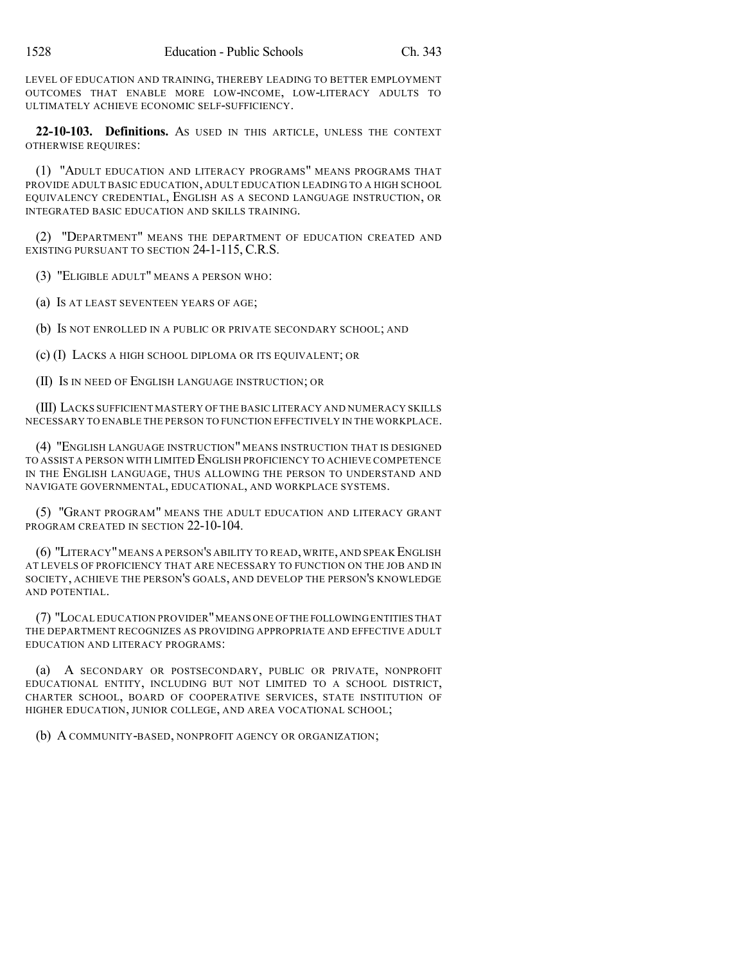LEVEL OF EDUCATION AND TRAINING, THEREBY LEADING TO BETTER EMPLOYMENT OUTCOMES THAT ENABLE MORE LOW-INCOME, LOW-LITERACY ADULTS TO ULTIMATELY ACHIEVE ECONOMIC SELF-SUFFICIENCY.

**22-10-103. Definitions.** AS USED IN THIS ARTICLE, UNLESS THE CONTEXT OTHERWISE REQUIRES:

(1) "ADULT EDUCATION AND LITERACY PROGRAMS" MEANS PROGRAMS THAT PROVIDE ADULT BASIC EDUCATION, ADULT EDUCATION LEADING TO A HIGH SCHOOL EQUIVALENCY CREDENTIAL, ENGLISH AS A SECOND LANGUAGE INSTRUCTION, OR INTEGRATED BASIC EDUCATION AND SKILLS TRAINING.

(2) "DEPARTMENT" MEANS THE DEPARTMENT OF EDUCATION CREATED AND EXISTING PURSUANT TO SECTION 24-1-115, C.R.S.

(3) "ELIGIBLE ADULT" MEANS A PERSON WHO:

(a) IS AT LEAST SEVENTEEN YEARS OF AGE;

(b) IS NOT ENROLLED IN A PUBLIC OR PRIVATE SECONDARY SCHOOL; AND

(c) (I) LACKS A HIGH SCHOOL DIPLOMA OR ITS EQUIVALENT; OR

(II) IS IN NEED OF ENGLISH LANGUAGE INSTRUCTION; OR

(III) LACKS SUFFICIENT MASTERY OF THE BASIC LITERACY AND NUMERACY SKILLS NECESSARY TO ENABLE THE PERSON TO FUNCTION EFFECTIVELY IN THE WORKPLACE.

(4) "ENGLISH LANGUAGE INSTRUCTION" MEANS INSTRUCTION THAT IS DESIGNED TO ASSIST A PERSON WITH LIMITED ENGLISH PROFICIENCY TO ACHIEVE COMPETENCE IN THE ENGLISH LANGUAGE, THUS ALLOWING THE PERSON TO UNDERSTAND AND NAVIGATE GOVERNMENTAL, EDUCATIONAL, AND WORKPLACE SYSTEMS.

(5) "GRANT PROGRAM" MEANS THE ADULT EDUCATION AND LITERACY GRANT PROGRAM CREATED IN SECTION 22-10-104.

(6) "LITERACY"MEANS A PERSON'S ABILITY TO READ,WRITE, AND SPEAK ENGLISH AT LEVELS OF PROFICIENCY THAT ARE NECESSARY TO FUNCTION ON THE JOB AND IN SOCIETY, ACHIEVE THE PERSON'S GOALS, AND DEVELOP THE PERSON'S KNOWLEDGE AND POTENTIAL.

(7) "LOCAL EDUCATION PROVIDER"MEANS ONE OFTHE FOLLOWINGENTITIES THAT THE DEPARTMENT RECOGNIZES AS PROVIDING APPROPRIATE AND EFFECTIVE ADULT EDUCATION AND LITERACY PROGRAMS:

(a) A SECONDARY OR POSTSECONDARY, PUBLIC OR PRIVATE, NONPROFIT EDUCATIONAL ENTITY, INCLUDING BUT NOT LIMITED TO A SCHOOL DISTRICT, CHARTER SCHOOL, BOARD OF COOPERATIVE SERVICES, STATE INSTITUTION OF HIGHER EDUCATION, JUNIOR COLLEGE, AND AREA VOCATIONAL SCHOOL;

(b) A COMMUNITY-BASED, NONPROFIT AGENCY OR ORGANIZATION;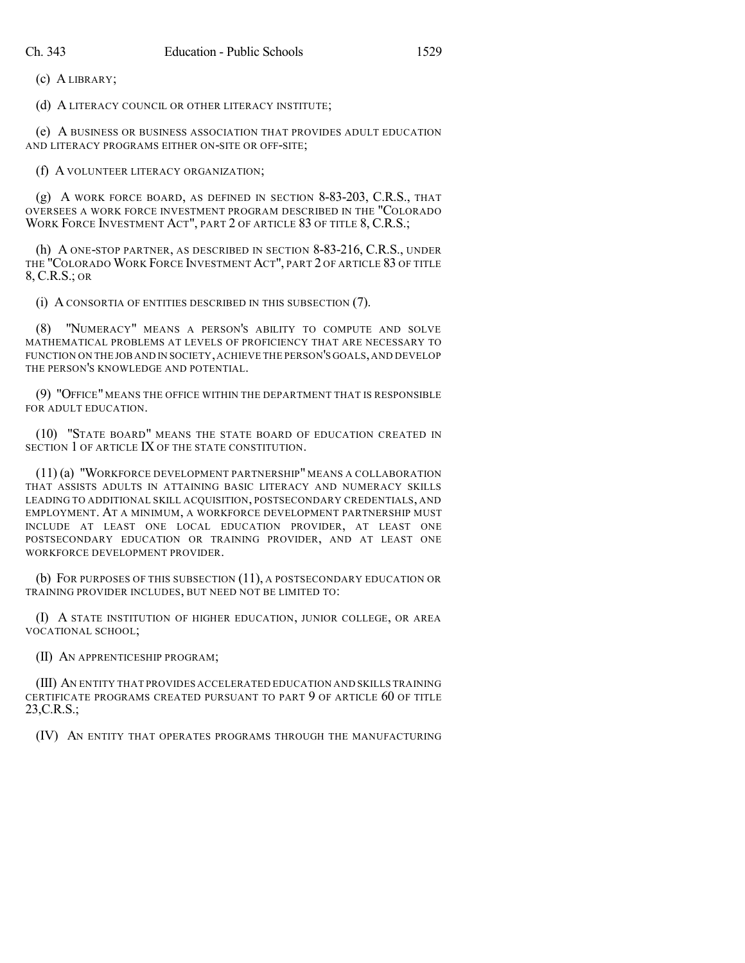(c) A LIBRARY;

(d) A LITERACY COUNCIL OR OTHER LITERACY INSTITUTE;

(e) A BUSINESS OR BUSINESS ASSOCIATION THAT PROVIDES ADULT EDUCATION AND LITERACY PROGRAMS EITHER ON-SITE OR OFF-SITE;

(f) A VOLUNTEER LITERACY ORGANIZATION;

(g) A WORK FORCE BOARD, AS DEFINED IN SECTION 8-83-203, C.R.S., THAT OVERSEES A WORK FORCE INVESTMENT PROGRAM DESCRIBED IN THE "COLORADO WORK FORCE INVESTMENT ACT", PART 2 OF ARTICLE 83 OF TITLE 8, C.R.S.;

(h) A ONE-STOP PARTNER, AS DESCRIBED IN SECTION 8-83-216, C.R.S., UNDER THE "COLORADO WORK FORCE INVESTMENT ACT", PART 2 OF ARTICLE 83 OF TITLE 8, C.R.S.; OR

(i) A CONSORTIA OF ENTITIES DESCRIBED IN THIS SUBSECTION (7).

(8) "NUMERACY" MEANS A PERSON'S ABILITY TO COMPUTE AND SOLVE MATHEMATICAL PROBLEMS AT LEVELS OF PROFICIENCY THAT ARE NECESSARY TO FUNCTION ON THE JOB AND IN SOCIETY,ACHIEVE THE PERSON'S GOALS,AND DEVELOP THE PERSON'S KNOWLEDGE AND POTENTIAL.

(9) "OFFICE" MEANS THE OFFICE WITHIN THE DEPARTMENT THAT IS RESPONSIBLE FOR ADULT EDUCATION.

(10) "STATE BOARD" MEANS THE STATE BOARD OF EDUCATION CREATED IN SECTION 1 OF ARTICLE IX OF THE STATE CONSTITUTION.

(11) (a) "WORKFORCE DEVELOPMENT PARTNERSHIP" MEANS A COLLABORATION THAT ASSISTS ADULTS IN ATTAINING BASIC LITERACY AND NUMERACY SKILLS LEADING TO ADDITIONAL SKILL ACQUISITION, POSTSECONDARY CREDENTIALS, AND EMPLOYMENT. AT A MINIMUM, A WORKFORCE DEVELOPMENT PARTNERSHIP MUST INCLUDE AT LEAST ONE LOCAL EDUCATION PROVIDER, AT LEAST ONE POSTSECONDARY EDUCATION OR TRAINING PROVIDER, AND AT LEAST ONE WORKFORCE DEVELOPMENT PROVIDER.

(b) FOR PURPOSES OF THIS SUBSECTION (11), A POSTSECONDARY EDUCATION OR TRAINING PROVIDER INCLUDES, BUT NEED NOT BE LIMITED TO:

(I) A STATE INSTITUTION OF HIGHER EDUCATION, JUNIOR COLLEGE, OR AREA VOCATIONAL SCHOOL;

(II) AN APPRENTICESHIP PROGRAM;

(III) AN ENTITY THAT PROVIDES ACCELERATED EDUCATION AND SKILLS TRAINING CERTIFICATE PROGRAMS CREATED PURSUANT TO PART 9 OF ARTICLE 60 OF TITLE 23,C.R.S.;

(IV) AN ENTITY THAT OPERATES PROGRAMS THROUGH THE MANUFACTURING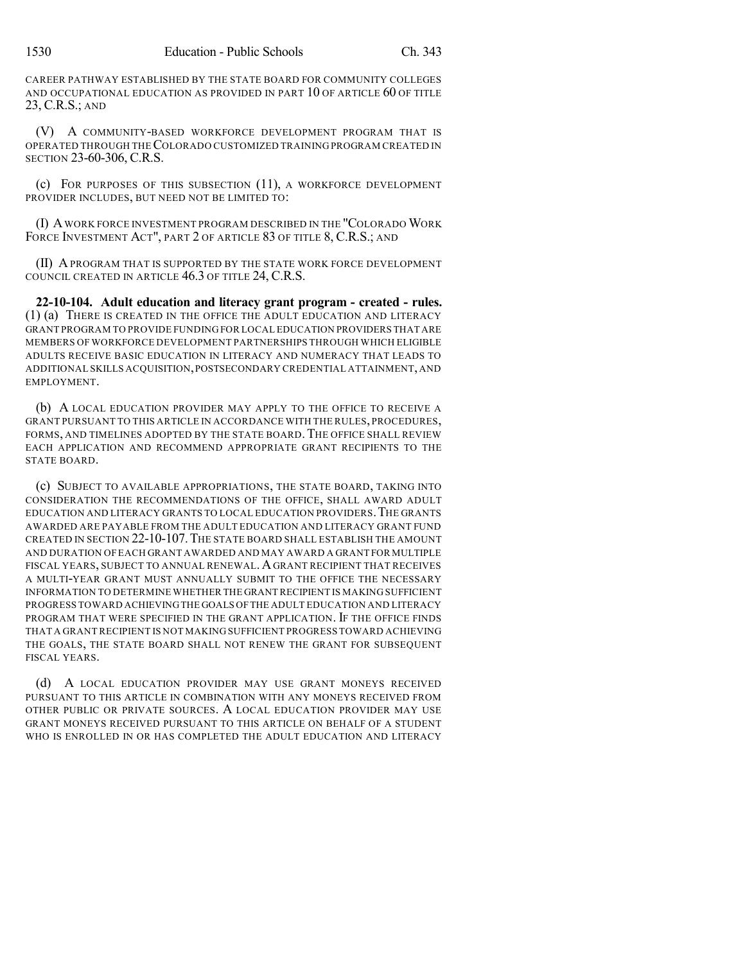CAREER PATHWAY ESTABLISHED BY THE STATE BOARD FOR COMMUNITY COLLEGES AND OCCUPATIONAL EDUCATION AS PROVIDED IN PART 10 OF ARTICLE 60 OF TITLE 23, C.R.S.; AND

(V) A COMMUNITY-BASED WORKFORCE DEVELOPMENT PROGRAM THAT IS OPERATED THROUGH THECOLORADO CUSTOMIZED TRAINING PROGRAM CREATED IN SECTION 23-60-306, C.R.S.

(c) FOR PURPOSES OF THIS SUBSECTION (11), A WORKFORCE DEVELOPMENT PROVIDER INCLUDES, BUT NEED NOT BE LIMITED TO:

(I) AWORK FORCE INVESTMENT PROGRAM DESCRIBED IN THE "COLORADO WORK FORCE INVESTMENT ACT", PART 2 OF ARTICLE 83 OF TITLE 8, C.R.S.; AND

(II) A PROGRAM THAT IS SUPPORTED BY THE STATE WORK FORCE DEVELOPMENT COUNCIL CREATED IN ARTICLE 46.3 OF TITLE 24, C.R.S.

**22-10-104. Adult education and literacy grant program - created - rules.** (1) (a) THERE IS CREATED IN THE OFFICE THE ADULT EDUCATION AND LITERACY GRANT PROGRAM TO PROVIDE FUNDING FOR LOCAL EDUCATION PROVIDERS THAT ARE MEMBERS OF WORKFORCE DEVELOPMENT PARTNERSHIPS THROUGH WHICH ELIGIBLE ADULTS RECEIVE BASIC EDUCATION IN LITERACY AND NUMERACY THAT LEADS TO ADDITIONAL SKILLS ACQUISITION,POSTSECONDARY CREDENTIAL ATTAINMENT,AND EMPLOYMENT.

(b) A LOCAL EDUCATION PROVIDER MAY APPLY TO THE OFFICE TO RECEIVE A GRANT PURSUANT TO THIS ARTICLE IN ACCORDANCE WITH THE RULES, PROCEDURES, FORMS, AND TIMELINES ADOPTED BY THE STATE BOARD. THE OFFICE SHALL REVIEW EACH APPLICATION AND RECOMMEND APPROPRIATE GRANT RECIPIENTS TO THE STATE BOARD.

(c) SUBJECT TO AVAILABLE APPROPRIATIONS, THE STATE BOARD, TAKING INTO CONSIDERATION THE RECOMMENDATIONS OF THE OFFICE, SHALL AWARD ADULT EDUCATION AND LITERACY GRANTS TO LOCAL EDUCATION PROVIDERS.THE GRANTS AWARDED ARE PAYABLE FROM THE ADULT EDUCATION AND LITERACY GRANT FUND CREATED IN SECTION 22-10-107.THE STATE BOARD SHALL ESTABLISH THE AMOUNT AND DURATION OF EACH GRANT AWARDED AND MAY AWARD A GRANT FOR MULTIPLE FISCAL YEARS, SUBJECT TO ANNUAL RENEWAL.AGRANT RECIPIENT THAT RECEIVES A MULTI-YEAR GRANT MUST ANNUALLY SUBMIT TO THE OFFICE THE NECESSARY INFORMATION TO DETERMINE WHETHER THE GRANT RECIPIENT IS MAKING SUFFICIENT PROGRESS TOWARD ACHIEVINGTHE GOALS OFTHE ADULT EDUCATION AND LITERACY PROGRAM THAT WERE SPECIFIED IN THE GRANT APPLICATION. IF THE OFFICE FINDS THAT A GRANT RECIPIENT IS NOT MAKING SUFFICIENT PROGRESS TOWARD ACHIEVING THE GOALS, THE STATE BOARD SHALL NOT RENEW THE GRANT FOR SUBSEQUENT FISCAL YEARS.

(d) A LOCAL EDUCATION PROVIDER MAY USE GRANT MONEYS RECEIVED PURSUANT TO THIS ARTICLE IN COMBINATION WITH ANY MONEYS RECEIVED FROM OTHER PUBLIC OR PRIVATE SOURCES. A LOCAL EDUCATION PROVIDER MAY USE GRANT MONEYS RECEIVED PURSUANT TO THIS ARTICLE ON BEHALF OF A STUDENT WHO IS ENROLLED IN OR HAS COMPLETED THE ADULT EDUCATION AND LITERACY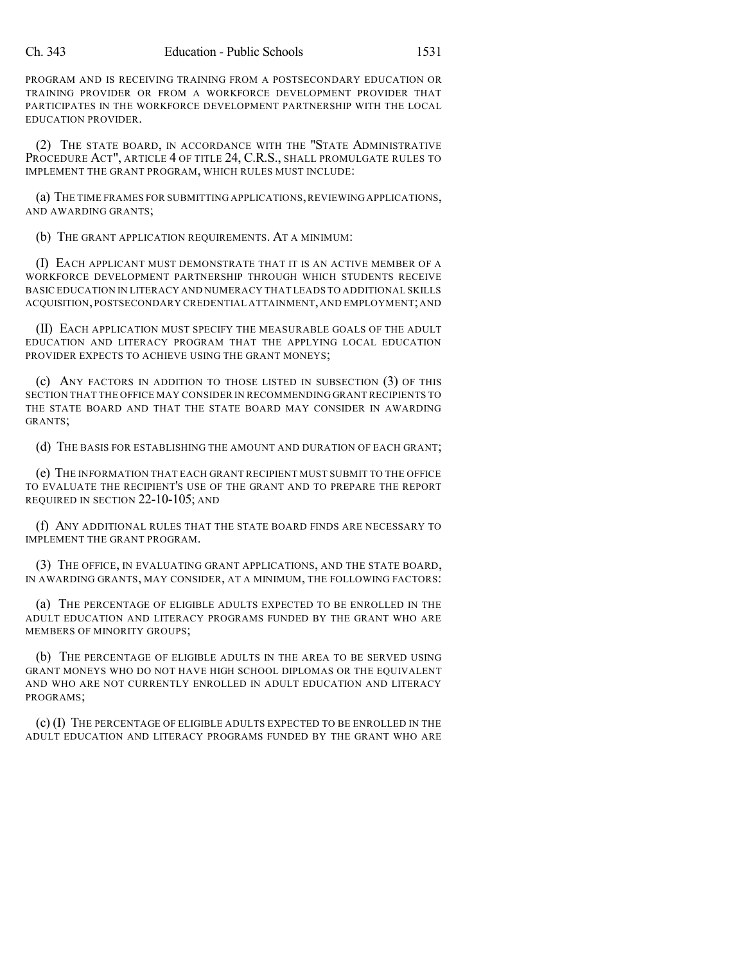PROGRAM AND IS RECEIVING TRAINING FROM A POSTSECONDARY EDUCATION OR TRAINING PROVIDER OR FROM A WORKFORCE DEVELOPMENT PROVIDER THAT PARTICIPATES IN THE WORKFORCE DEVELOPMENT PARTNERSHIP WITH THE LOCAL EDUCATION PROVIDER.

(2) THE STATE BOARD, IN ACCORDANCE WITH THE "STATE ADMINISTRATIVE PROCEDURE ACT", ARTICLE 4 OF TITLE 24, C.R.S., SHALL PROMULGATE RULES TO IMPLEMENT THE GRANT PROGRAM, WHICH RULES MUST INCLUDE:

(a) THE TIME FRAMES FOR SUBMITTING APPLICATIONS,REVIEWING APPLICATIONS, AND AWARDING GRANTS;

(b) THE GRANT APPLICATION REQUIREMENTS. AT A MINIMUM:

(I) EACH APPLICANT MUST DEMONSTRATE THAT IT IS AN ACTIVE MEMBER OF A WORKFORCE DEVELOPMENT PARTNERSHIP THROUGH WHICH STUDENTS RECEIVE BASIC EDUCATION IN LITERACY AND NUMERACY THAT LEADS TO ADDITIONAL SKILLS ACQUISITION,POSTSECONDARY CREDENTIAL ATTAINMENT,AND EMPLOYMENT;AND

(II) EACH APPLICATION MUST SPECIFY THE MEASURABLE GOALS OF THE ADULT EDUCATION AND LITERACY PROGRAM THAT THE APPLYING LOCAL EDUCATION PROVIDER EXPECTS TO ACHIEVE USING THE GRANT MONEYS;

(c) ANY FACTORS IN ADDITION TO THOSE LISTED IN SUBSECTION (3) OF THIS SECTION THAT THE OFFICE MAY CONSIDER IN RECOMMENDING GRANT RECIPIENTS TO THE STATE BOARD AND THAT THE STATE BOARD MAY CONSIDER IN AWARDING GRANTS;

(d) THE BASIS FOR ESTABLISHING THE AMOUNT AND DURATION OF EACH GRANT;

(e) THE INFORMATION THAT EACH GRANT RECIPIENT MUST SUBMIT TO THE OFFICE TO EVALUATE THE RECIPIENT'S USE OF THE GRANT AND TO PREPARE THE REPORT REQUIRED IN SECTION 22-10-105; AND

(f) ANY ADDITIONAL RULES THAT THE STATE BOARD FINDS ARE NECESSARY TO IMPLEMENT THE GRANT PROGRAM.

(3) THE OFFICE, IN EVALUATING GRANT APPLICATIONS, AND THE STATE BOARD, IN AWARDING GRANTS, MAY CONSIDER, AT A MINIMUM, THE FOLLOWING FACTORS:

(a) THE PERCENTAGE OF ELIGIBLE ADULTS EXPECTED TO BE ENROLLED IN THE ADULT EDUCATION AND LITERACY PROGRAMS FUNDED BY THE GRANT WHO ARE MEMBERS OF MINORITY GROUPS;

(b) THE PERCENTAGE OF ELIGIBLE ADULTS IN THE AREA TO BE SERVED USING GRANT MONEYS WHO DO NOT HAVE HIGH SCHOOL DIPLOMAS OR THE EQUIVALENT AND WHO ARE NOT CURRENTLY ENROLLED IN ADULT EDUCATION AND LITERACY PROGRAMS;

(c) (I) THE PERCENTAGE OF ELIGIBLE ADULTS EXPECTED TO BE ENROLLED IN THE ADULT EDUCATION AND LITERACY PROGRAMS FUNDED BY THE GRANT WHO ARE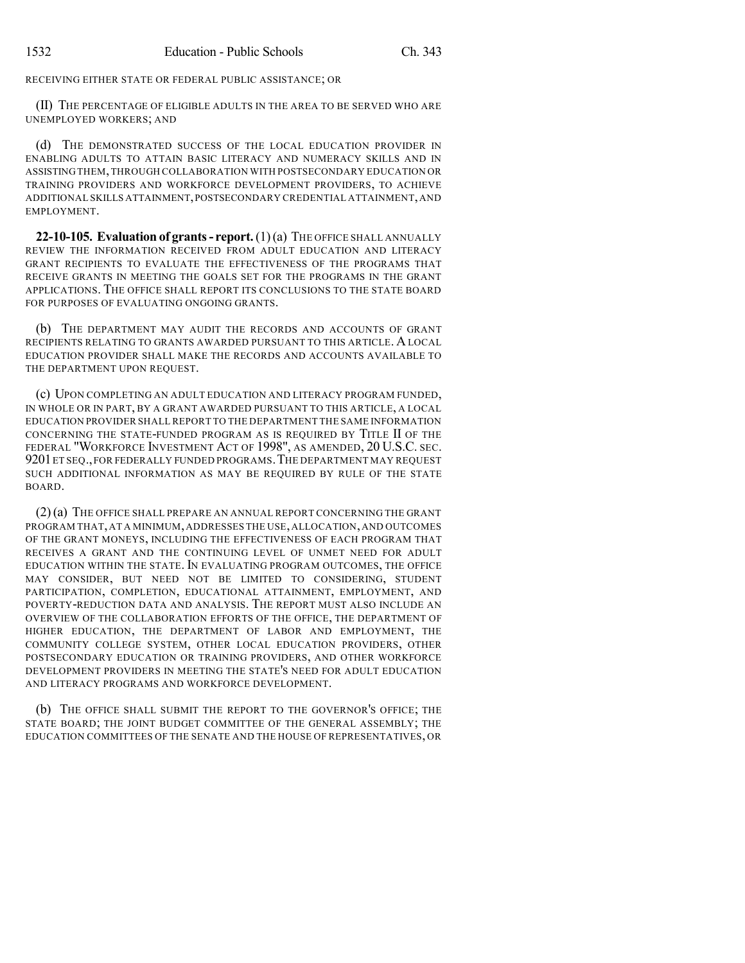RECEIVING EITHER STATE OR FEDERAL PUBLIC ASSISTANCE; OR

(II) THE PERCENTAGE OF ELIGIBLE ADULTS IN THE AREA TO BE SERVED WHO ARE UNEMPLOYED WORKERS; AND

(d) THE DEMONSTRATED SUCCESS OF THE LOCAL EDUCATION PROVIDER IN ENABLING ADULTS TO ATTAIN BASIC LITERACY AND NUMERACY SKILLS AND IN ASSISTING THEM,THROUGH COLLABORATION WITH POSTSECONDARY EDUCATION OR TRAINING PROVIDERS AND WORKFORCE DEVELOPMENT PROVIDERS, TO ACHIEVE ADDITIONAL SKILLS ATTAINMENT,POSTSECONDARY CREDENTIAL ATTAINMENT,AND EMPLOYMENT.

**22-10-105. Evaluation of grants- report.**(1)(a) THE OFFICE SHALL ANNUALLY REVIEW THE INFORMATION RECEIVED FROM ADULT EDUCATION AND LITERACY GRANT RECIPIENTS TO EVALUATE THE EFFECTIVENESS OF THE PROGRAMS THAT RECEIVE GRANTS IN MEETING THE GOALS SET FOR THE PROGRAMS IN THE GRANT APPLICATIONS. THE OFFICE SHALL REPORT ITS CONCLUSIONS TO THE STATE BOARD FOR PURPOSES OF EVALUATING ONGOING GRANTS.

(b) THE DEPARTMENT MAY AUDIT THE RECORDS AND ACCOUNTS OF GRANT RECIPIENTS RELATING TO GRANTS AWARDED PURSUANT TO THIS ARTICLE. ALOCAL EDUCATION PROVIDER SHALL MAKE THE RECORDS AND ACCOUNTS AVAILABLE TO THE DEPARTMENT UPON REQUEST.

(c) UPON COMPLETING AN ADULT EDUCATION AND LITERACY PROGRAM FUNDED, IN WHOLE OR IN PART, BY A GRANT AWARDED PURSUANT TO THIS ARTICLE, A LOCAL EDUCATION PROVIDER SHALL REPORT TO THE DEPARTMENT THE SAME INFORMATION CONCERNING THE STATE-FUNDED PROGRAM AS IS REQUIRED BY TITLE II OF THE FEDERAL "WORKFORCE INVESTMENT ACT OF 1998", AS AMENDED, 20 U.S.C. SEC. 9201ET SEQ.,FOR FEDERALLY FUNDED PROGRAMS.THE DEPARTMENT MAY REQUEST SUCH ADDITIONAL INFORMATION AS MAY BE REQUIRED BY RULE OF THE STATE BOARD.

(2)(a) THE OFFICE SHALL PREPARE AN ANNUAL REPORT CONCERNING THE GRANT PROGRAM THAT,AT A MINIMUM,ADDRESSES THE USE,ALLOCATION,AND OUTCOMES OF THE GRANT MONEYS, INCLUDING THE EFFECTIVENESS OF EACH PROGRAM THAT RECEIVES A GRANT AND THE CONTINUING LEVEL OF UNMET NEED FOR ADULT EDUCATION WITHIN THE STATE. IN EVALUATING PROGRAM OUTCOMES, THE OFFICE MAY CONSIDER, BUT NEED NOT BE LIMITED TO CONSIDERING, STUDENT PARTICIPATION, COMPLETION, EDUCATIONAL ATTAINMENT, EMPLOYMENT, AND POVERTY-REDUCTION DATA AND ANALYSIS. THE REPORT MUST ALSO INCLUDE AN OVERVIEW OF THE COLLABORATION EFFORTS OF THE OFFICE, THE DEPARTMENT OF HIGHER EDUCATION, THE DEPARTMENT OF LABOR AND EMPLOYMENT, THE COMMUNITY COLLEGE SYSTEM, OTHER LOCAL EDUCATION PROVIDERS, OTHER POSTSECONDARY EDUCATION OR TRAINING PROVIDERS, AND OTHER WORKFORCE DEVELOPMENT PROVIDERS IN MEETING THE STATE'S NEED FOR ADULT EDUCATION AND LITERACY PROGRAMS AND WORKFORCE DEVELOPMENT.

(b) THE OFFICE SHALL SUBMIT THE REPORT TO THE GOVERNOR'S OFFICE; THE STATE BOARD; THE JOINT BUDGET COMMITTEE OF THE GENERAL ASSEMBLY; THE EDUCATION COMMITTEES OF THE SENATE AND THE HOUSE OF REPRESENTATIVES, OR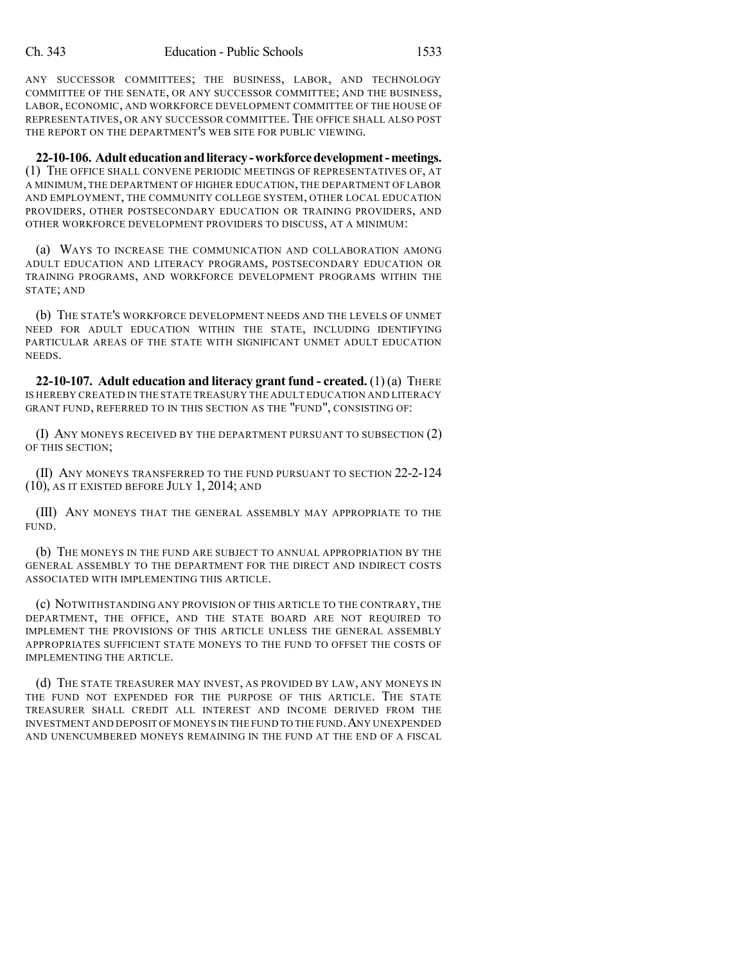ANY SUCCESSOR COMMITTEES; THE BUSINESS, LABOR, AND TECHNOLOGY COMMITTEE OF THE SENATE, OR ANY SUCCESSOR COMMITTEE; AND THE BUSINESS, LABOR, ECONOMIC, AND WORKFORCE DEVELOPMENT COMMITTEE OF THE HOUSE OF REPRESENTATIVES, OR ANY SUCCESSOR COMMITTEE. THE OFFICE SHALL ALSO POST THE REPORT ON THE DEPARTMENT'S WEB SITE FOR PUBLIC VIEWING.

**22-10-106. Adult educationandliteracy-workforcedevelopment-meetings.** (1) THE OFFICE SHALL CONVENE PERIODIC MEETINGS OF REPRESENTATIVES OF, AT A MINIMUM, THE DEPARTMENT OF HIGHER EDUCATION, THE DEPARTMENT OF LABOR AND EMPLOYMENT, THE COMMUNITY COLLEGE SYSTEM, OTHER LOCAL EDUCATION PROVIDERS, OTHER POSTSECONDARY EDUCATION OR TRAINING PROVIDERS, AND OTHER WORKFORCE DEVELOPMENT PROVIDERS TO DISCUSS, AT A MINIMUM:

(a) WAYS TO INCREASE THE COMMUNICATION AND COLLABORATION AMONG ADULT EDUCATION AND LITERACY PROGRAMS, POSTSECONDARY EDUCATION OR TRAINING PROGRAMS, AND WORKFORCE DEVELOPMENT PROGRAMS WITHIN THE STATE; AND

(b) THE STATE'S WORKFORCE DEVELOPMENT NEEDS AND THE LEVELS OF UNMET NEED FOR ADULT EDUCATION WITHIN THE STATE, INCLUDING IDENTIFYING PARTICULAR AREAS OF THE STATE WITH SIGNIFICANT UNMET ADULT EDUCATION NEEDS.

**22-10-107. Adult education and literacy grant fund - created.** (1) (a) THERE IS HEREBY CREATED IN THE STATE TREASURY THE ADULT EDUCATION AND LITERACY GRANT FUND, REFERRED TO IN THIS SECTION AS THE "FUND", CONSISTING OF:

(I) ANY MONEYS RECEIVED BY THE DEPARTMENT PURSUANT TO SUBSECTION (2) OF THIS SECTION;

(II) ANY MONEYS TRANSFERRED TO THE FUND PURSUANT TO SECTION 22-2-124 (10), AS IT EXISTED BEFORE JULY 1, 2014; AND

(III) ANY MONEYS THAT THE GENERAL ASSEMBLY MAY APPROPRIATE TO THE FUND.

(b) THE MONEYS IN THE FUND ARE SUBJECT TO ANNUAL APPROPRIATION BY THE GENERAL ASSEMBLY TO THE DEPARTMENT FOR THE DIRECT AND INDIRECT COSTS ASSOCIATED WITH IMPLEMENTING THIS ARTICLE.

(c) NOTWITHSTANDING ANY PROVISION OF THIS ARTICLE TO THE CONTRARY, THE DEPARTMENT, THE OFFICE, AND THE STATE BOARD ARE NOT REQUIRED TO IMPLEMENT THE PROVISIONS OF THIS ARTICLE UNLESS THE GENERAL ASSEMBLY APPROPRIATES SUFFICIENT STATE MONEYS TO THE FUND TO OFFSET THE COSTS OF IMPLEMENTING THE ARTICLE.

(d) THE STATE TREASURER MAY INVEST, AS PROVIDED BY LAW, ANY MONEYS IN THE FUND NOT EXPENDED FOR THE PURPOSE OF THIS ARTICLE. THE STATE TREASURER SHALL CREDIT ALL INTEREST AND INCOME DERIVED FROM THE INVESTMENT AND DEPOSIT OF MONEYS IN THE FUND TO THE FUND.ANY UNEXPENDED AND UNENCUMBERED MONEYS REMAINING IN THE FUND AT THE END OF A FISCAL